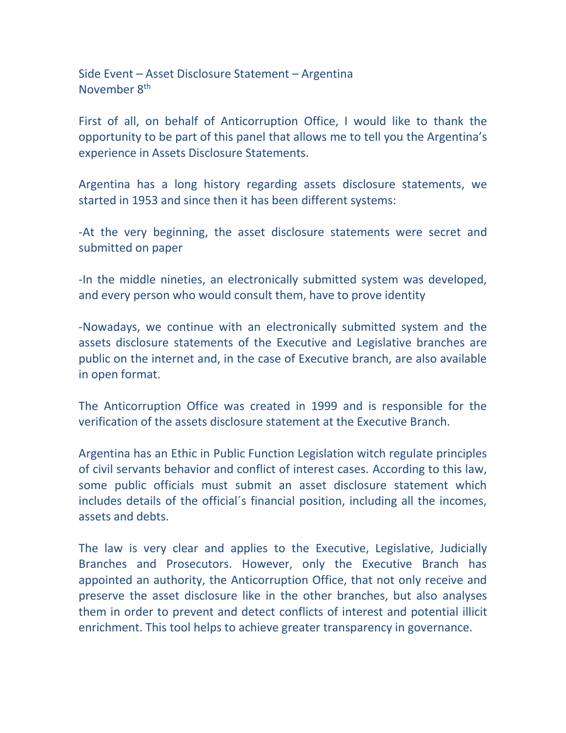Side Event – Asset Disclosure Statement – Argentina November 8th

First of all, on behalf of Anticorruption Office, I would like to thank the opportunity to be part of this panel that allows me to tell you the Argentina's experience in Assets Disclosure Statements.

Argentina has a long history regarding assets disclosure statements, we started in 1953 and since then it has been different systems:

-At the very beginning, the asset disclosure statements were secret and submitted on paper

-In the middle nineties, an electronically submitted system was developed, and every person who would consult them, have to prove identity

-Nowadays, we continue with an electronically submitted system and the assets disclosure statements of the Executive and Legislative branches are public on the internet and, in the case of Executive branch, are also available in open format.

The Anticorruption Office was created in 1999 and is responsible for the verification of the assets disclosure statement at the Executive Branch.

Argentina has an Ethic in Public Function Legislation witch regulate principles of civil servants behavior and conflict of interest cases. According to this law, some public officials must submit an asset disclosure statement which includes details of the official´s financial position, including all the incomes, assets and debts.

The law is very clear and applies to the Executive, Legislative, Judicially Branches and Prosecutors. However, only the Executive Branch has appointed an authority, the Anticorruption Office, that not only receive and preserve the asset disclosure like in the other branches, but also analyses them in order to prevent and detect conflicts of interest and potential illicit enrichment. This tool helps to achieve greater transparency in governance.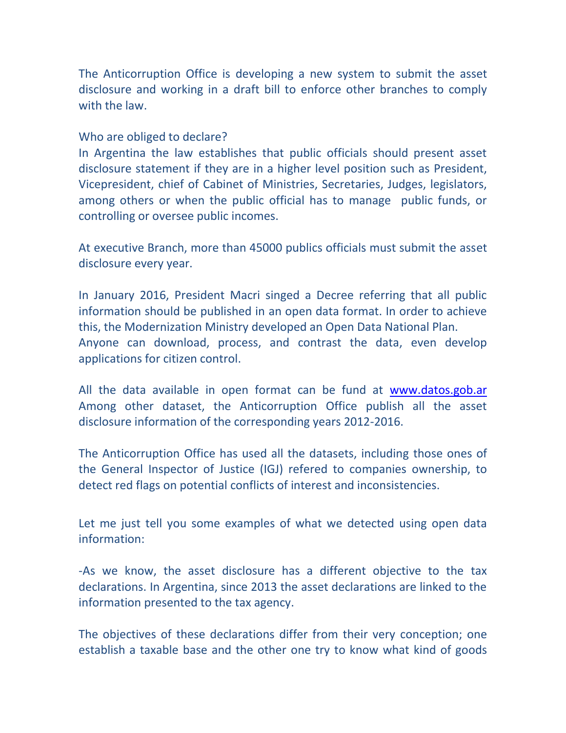The Anticorruption Office is developing a new system to submit the asset disclosure and working in a draft bill to enforce other branches to comply with the law.

## Who are obliged to declare?

In Argentina the law establishes that public officials should present asset disclosure statement if they are in a higher level position such as President, Vicepresident, chief of Cabinet of Ministries, Secretaries, Judges, legislators, among others or when the public official has to manage public funds, or controlling or oversee public incomes.

At executive Branch, more than 45000 publics officials must submit the asset disclosure every year.

In January 2016, President Macri singed a Decree referring that all public information should be published in an open data format. In order to achieve this, the Modernization Ministry developed an Open Data National Plan. Anyone can download, process, and contrast the data, even develop applications for citizen control.

All the data available in open format can be fund at [www.datos.gob.ar](http://www.datos.gob.ar/) Among other dataset, the Anticorruption Office publish all the asset disclosure information of the corresponding years 2012-2016.

The Anticorruption Office has used all the datasets, including those ones of the General Inspector of Justice (IGJ) refered to companies ownership, to detect red flags on potential conflicts of interest and inconsistencies.

Let me just tell you some examples of what we detected using open data information:

-As we know, the asset disclosure has a different objective to the tax declarations. In Argentina, since 2013 the asset declarations are linked to the information presented to the tax agency.

The objectives of these declarations differ from their very conception; one establish a taxable base and the other one try to know what kind of goods